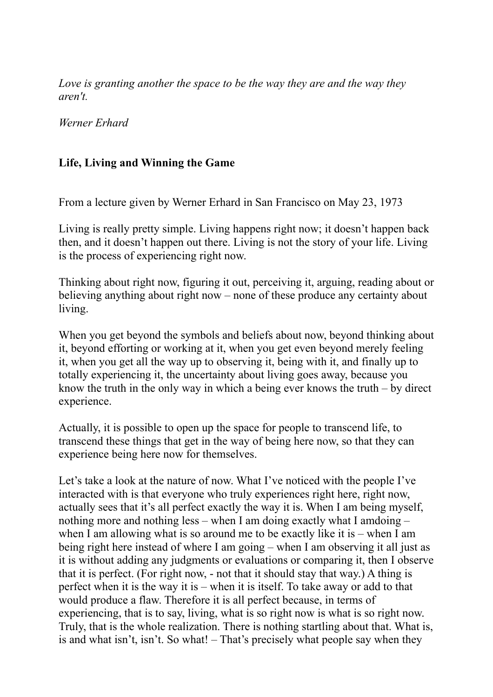*Love is granting another the space to be the way they are and the way they aren't.* 

*Werner Erhard* 

#### **Life, Living and Winning the Game**

From a lecture given by Werner Erhard in San Francisco on May 23, 1973

Living is really pretty simple. Living happens right now; it doesn't happen back then, and it doesn't happen out there. Living is not the story of your life. Living is the process of experiencing right now.

Thinking about right now, figuring it out, perceiving it, arguing, reading about or believing anything about right now – none of these produce any certainty about living.

When you get beyond the symbols and beliefs about now, beyond thinking about it, beyond efforting or working at it, when you get even beyond merely feeling it, when you get all the way up to observing it, being with it, and finally up to totally experiencing it, the uncertainty about living goes away, because you know the truth in the only way in which a being ever knows the truth – by direct experience.

Actually, it is possible to open up the space for people to transcend life, to transcend these things that get in the way of being here now, so that they can experience being here now for themselves.

Let's take a look at the nature of now. What I've noticed with the people I've interacted with is that everyone who truly experiences right here, right now, actually sees that it's all perfect exactly the way it is. When I am being myself, nothing more and nothing less – when I am doing exactly what I amdoing – when I am allowing what is so around me to be exactly like it is – when I am being right here instead of where I am going – when I am observing it all just as it is without adding any judgments or evaluations or comparing it, then I observe that it is perfect. (For right now, - not that it should stay that way.) A thing is perfect when it is the way it is – when it is itself. To take away or add to that would produce a flaw. Therefore it is all perfect because, in terms of experiencing, that is to say, living, what is so right now is what is so right now. Truly, that is the whole realization. There is nothing startling about that. What is, is and what isn't, isn't. So what! – That's precisely what people say when they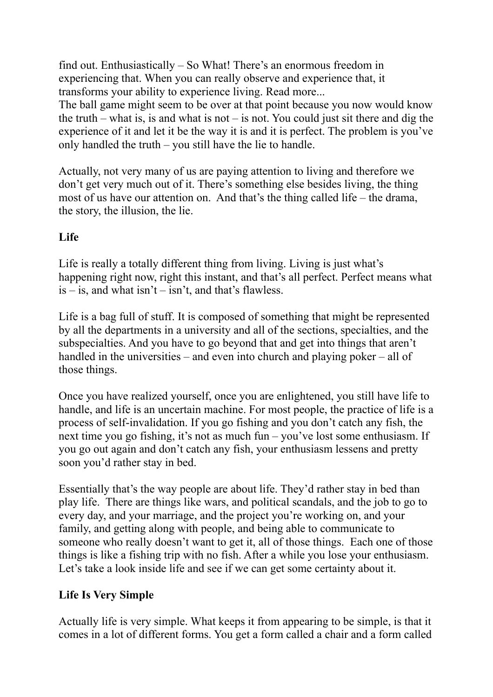find out. Enthusiastically – So What! There's an enormous freedom in experiencing that. When you can really observe and experience that, it transforms your ability to experience living. Read more...

The ball game might seem to be over at that point because you now would know the truth – what is, is and what is not – is not. You could just sit there and dig the experience of it and let it be the way it is and it is perfect. The problem is you've only handled the truth – you still have the lie to handle.

Actually, not very many of us are paying attention to living and therefore we don't get very much out of it. There's something else besides living, the thing most of us have our attention on. And that's the thing called life – the drama, the story, the illusion, the lie.

## **Life**

Life is really a totally different thing from living. Living is just what's happening right now, right this instant, and that's all perfect. Perfect means what  $is - is$ , and what  $isn't - isn't$ , and that's flawless.

Life is a bag full of stuff. It is composed of something that might be represented by all the departments in a university and all of the sections, specialties, and the subspecialties. And you have to go beyond that and get into things that aren't handled in the universities – and even into church and playing poker – all of those things.

Once you have realized yourself, once you are enlightened, you still have life to handle, and life is an uncertain machine. For most people, the practice of life is a process of self-invalidation. If you go fishing and you don't catch any fish, the next time you go fishing, it's not as much fun – you've lost some enthusiasm. If you go out again and don't catch any fish, your enthusiasm lessens and pretty soon you'd rather stay in bed.

Essentially that's the way people are about life. They'd rather stay in bed than play life. There are things like wars, and political scandals, and the job to go to every day, and your marriage, and the project you're working on, and your family, and getting along with people, and being able to communicate to someone who really doesn't want to get it, all of those things. Each one of those things is like a fishing trip with no fish. After a while you lose your enthusiasm. Let's take a look inside life and see if we can get some certainty about it.

### **Life Is Very Simple**

Actually life is very simple. What keeps it from appearing to be simple, is that it comes in a lot of different forms. You get a form called a chair and a form called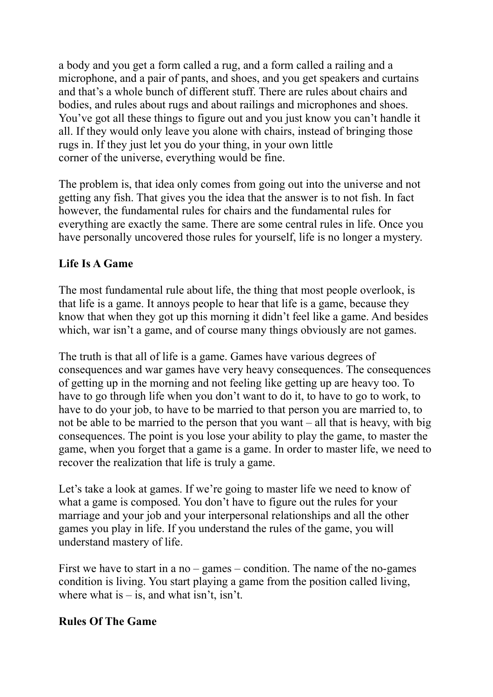a body and you get a form called a rug, and a form called a railing and a microphone, and a pair of pants, and shoes, and you get speakers and curtains and that's a whole bunch of different stuff. There are rules about chairs and bodies, and rules about rugs and about railings and microphones and shoes. You've got all these things to figure out and you just know you can't handle it all. If they would only leave you alone with chairs, instead of bringing those rugs in. If they just let you do your thing, in your own little corner of the universe, everything would be fine.

The problem is, that idea only comes from going out into the universe and not getting any fish. That gives you the idea that the answer is to not fish. In fact however, the fundamental rules for chairs and the fundamental rules for everything are exactly the same. There are some central rules in life. Once you have personally uncovered those rules for yourself, life is no longer a mystery.

## **Life Is A Game**

The most fundamental rule about life, the thing that most people overlook, is that life is a game. It annoys people to hear that life is a game, because they know that when they got up this morning it didn't feel like a game. And besides which, war isn't a game, and of course many things obviously are not games.

The truth is that all of life is a game. Games have various degrees of consequences and war games have very heavy consequences. The consequences of getting up in the morning and not feeling like getting up are heavy too. To have to go through life when you don't want to do it, to have to go to work, to have to do your job, to have to be married to that person you are married to, to not be able to be married to the person that you want – all that is heavy, with big consequences. The point is you lose your ability to play the game, to master the game, when you forget that a game is a game. In order to master life, we need to recover the realization that life is truly a game.

Let's take a look at games. If we're going to master life we need to know of what a game is composed. You don't have to figure out the rules for your marriage and your job and your interpersonal relationships and all the other games you play in life. If you understand the rules of the game, you will understand mastery of life.

First we have to start in a no – games – condition. The name of the no-games condition is living. You start playing a game from the position called living, where what is  $-$  is, and what isn't, isn't.

### **Rules Of The Game**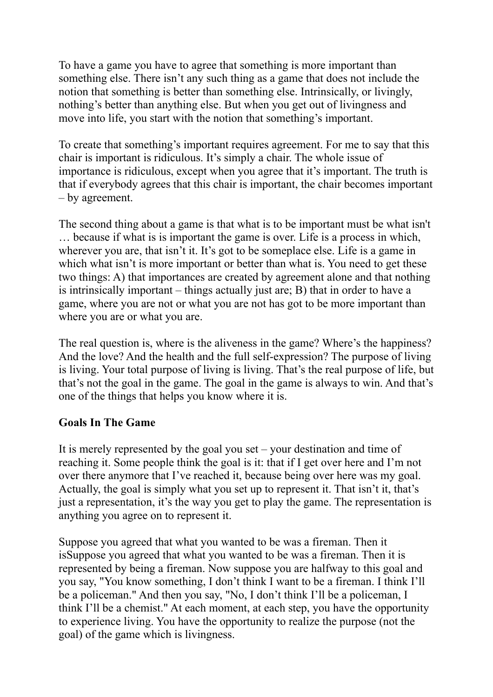To have a game you have to agree that something is more important than something else. There isn't any such thing as a game that does not include the notion that something is better than something else. Intrinsically, or livingly, nothing's better than anything else. But when you get out of livingness and move into life, you start with the notion that something's important.

To create that something's important requires agreement. For me to say that this chair is important is ridiculous. It's simply a chair. The whole issue of importance is ridiculous, except when you agree that it's important. The truth is that if everybody agrees that this chair is important, the chair becomes important – by agreement.

The second thing about a game is that what is to be important must be what isn't … because if what is is important the game is over. Life is a process in which, wherever you are, that isn't it. It's got to be someplace else. Life is a game in which what isn't is more important or better than what is. You need to get these two things: A) that importances are created by agreement alone and that nothing is intrinsically important – things actually just are; B) that in order to have a game, where you are not or what you are not has got to be more important than where you are or what you are.

The real question is, where is the aliveness in the game? Where's the happiness? And the love? And the health and the full self-expression? The purpose of living is living. Your total purpose of living is living. That's the real purpose of life, but that's not the goal in the game. The goal in the game is always to win. And that's one of the things that helps you know where it is.

#### **Goals In The Game**

It is merely represented by the goal you set – your destination and time of reaching it. Some people think the goal is it: that if I get over here and I'm not over there anymore that I've reached it, because being over here was my goal. Actually, the goal is simply what you set up to represent it. That isn't it, that's just a representation, it's the way you get to play the game. The representation is anything you agree on to represent it.

Suppose you agreed that what you wanted to be was a fireman. Then it isSuppose you agreed that what you wanted to be was a fireman. Then it is represented by being a fireman. Now suppose you are halfway to this goal and you say, "You know something, I don't think I want to be a fireman. I think I'll be a policeman." And then you say, "No, I don't think I'll be a policeman, I think I'll be a chemist." At each moment, at each step, you have the opportunity to experience living. You have the opportunity to realize the purpose (not the goal) of the game which is livingness.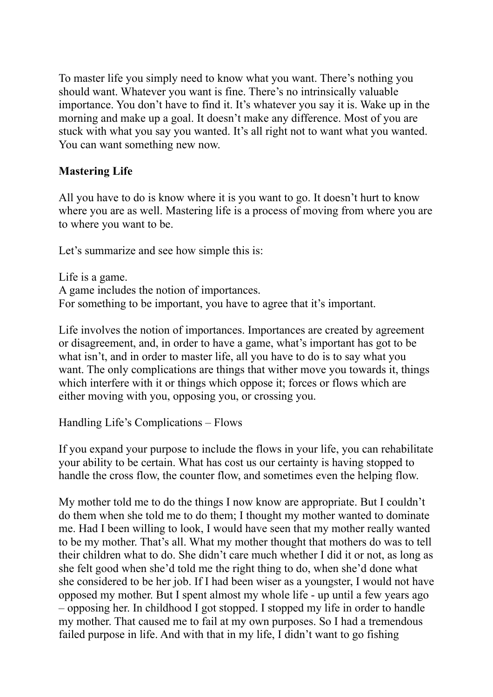To master life you simply need to know what you want. There's nothing you should want. Whatever you want is fine. There's no intrinsically valuable importance. You don't have to find it. It's whatever you say it is. Wake up in the morning and make up a goal. It doesn't make any difference. Most of you are stuck with what you say you wanted. It's all right not to want what you wanted. You can want something new now.

### **Mastering Life**

All you have to do is know where it is you want to go. It doesn't hurt to know where you are as well. Mastering life is a process of moving from where you are to where you want to be.

Let's summarize and see how simple this is:

Life is a game. A game includes the notion of importances. For something to be important, you have to agree that it's important.

Life involves the notion of importances. Importances are created by agreement or disagreement, and, in order to have a game, what's important has got to be what isn't, and in order to master life, all you have to do is to say what you want. The only complications are things that wither move you towards it, things which interfere with it or things which oppose it; forces or flows which are either moving with you, opposing you, or crossing you.

Handling Life's Complications – Flows

If you expand your purpose to include the flows in your life, you can rehabilitate your ability to be certain. What has cost us our certainty is having stopped to handle the cross flow, the counter flow, and sometimes even the helping flow.

My mother told me to do the things I now know are appropriate. But I couldn't do them when she told me to do them; I thought my mother wanted to dominate me. Had I been willing to look, I would have seen that my mother really wanted to be my mother. That's all. What my mother thought that mothers do was to tell their children what to do. She didn't care much whether I did it or not, as long as she felt good when she'd told me the right thing to do, when she'd done what she considered to be her job. If I had been wiser as a youngster, I would not have opposed my mother. But I spent almost my whole life - up until a few years ago – opposing her. In childhood I got stopped. I stopped my life in order to handle my mother. That caused me to fail at my own purposes. So I had a tremendous failed purpose in life. And with that in my life, I didn't want to go fishing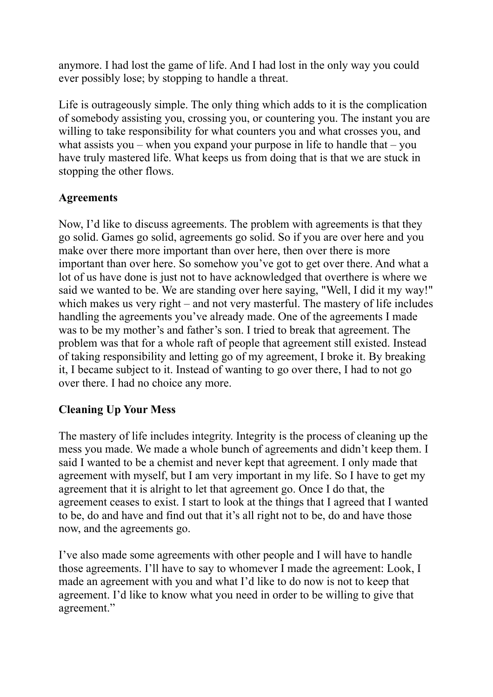anymore. I had lost the game of life. And I had lost in the only way you could ever possibly lose; by stopping to handle a threat.

Life is outrageously simple. The only thing which adds to it is the complication of somebody assisting you, crossing you, or countering you. The instant you are willing to take responsibility for what counters you and what crosses you, and what assists you – when you expand your purpose in life to handle that – you have truly mastered life. What keeps us from doing that is that we are stuck in stopping the other flows.

#### **Agreements**

Now, I'd like to discuss agreements. The problem with agreements is that they go solid. Games go solid, agreements go solid. So if you are over here and you make over there more important than over here, then over there is more important than over here. So somehow you've got to get over there. And what a lot of us have done is just not to have acknowledged that overthere is where we said we wanted to be. We are standing over here saying, "Well, I did it my way!" which makes us very right – and not very masterful. The mastery of life includes handling the agreements you've already made. One of the agreements I made was to be my mother's and father's son. I tried to break that agreement. The problem was that for a whole raft of people that agreement still existed. Instead of taking responsibility and letting go of my agreement, I broke it. By breaking it, I became subject to it. Instead of wanting to go over there, I had to not go over there. I had no choice any more.

### **Cleaning Up Your Mess**

The mastery of life includes integrity. Integrity is the process of cleaning up the mess you made. We made a whole bunch of agreements and didn't keep them. I said I wanted to be a chemist and never kept that agreement. I only made that agreement with myself, but I am very important in my life. So I have to get my agreement that it is alright to let that agreement go. Once I do that, the agreement ceases to exist. I start to look at the things that I agreed that I wanted to be, do and have and find out that it's all right not to be, do and have those now, and the agreements go.

I've also made some agreements with other people and I will have to handle those agreements. I'll have to say to whomever I made the agreement: Look, I made an agreement with you and what I'd like to do now is not to keep that agreement. I'd like to know what you need in order to be willing to give that agreement."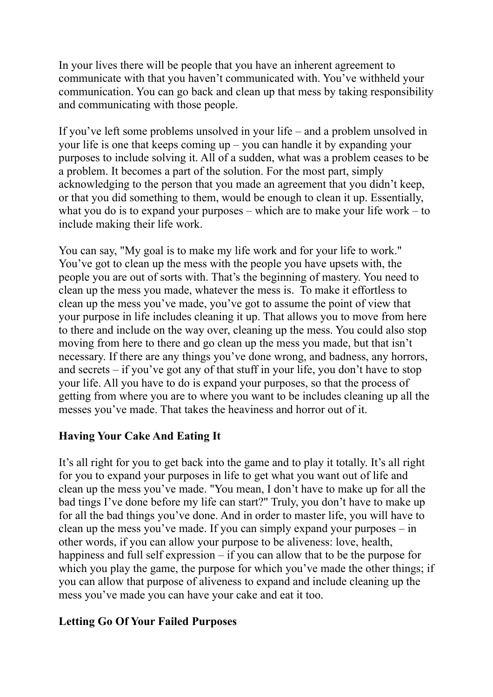In your lives there will be people that you have an inherent agreement to communicate with that you haven't communicated with. You've withheld your communication. You can go back and clean up that mess by taking responsibility and communicating with those people.

If you've left some problems unsolved in your life – and a problem unsolved in your life is one that keeps coming up – you can handle it by expanding your purposes to include solving it. All of a sudden, what was a problem ceases to be a problem. It becomes a part of the solution. For the most part, simply acknowledging to the person that you made an agreement that you didn't keep, or that you did something to them, would be enough to clean it up. Essentially, what you do is to expand your purposes – which are to make your life work – to include making their life work.

You can say, "My goal is to make my life work and for your life to work." You've got to clean up the mess with the people you have upsets with, the people you are out of sorts with. That's the beginning of mastery. You need to clean up the mess you made, whatever the mess is. To make it effortless to clean up the mess you've made, you've got to assume the point of view that your purpose in life includes cleaning it up. That allows you to move from here to there and include on the way over, cleaning up the mess. You could also stop moving from here to there and go clean up the mess you made, but that isn't necessary. If there are any things you've done wrong, and badness, any horrors, and secrets – if you've got any of that stuff in your life, you don't have to stop your life. All you have to do is expand your purposes, so that the process of getting from where you are to where you want to be includes cleaning up all the messes you've made. That takes the heaviness and horror out of it.

# **Having Your Cake And Eating It**

It's all right for you to get back into the game and to play it totally. It's all right for you to expand your purposes in life to get what you want out of life and clean up the mess you've made. "You mean, I don't have to make up for all the bad tings I've done before my life can start?" Truly, you don't have to make up for all the bad things you've done. And in order to master life, you will have to clean up the mess you've made. If you can simply expand your purposes – in other words, if you can allow your purpose to be aliveness: love, health, happiness and full self expression – if you can allow that to be the purpose for which you play the game, the purpose for which you've made the other things; if you can allow that purpose of aliveness to expand and include cleaning up the mess you've made you can have your cake and eat it too.

# **Letting Go Of Your Failed Purposes**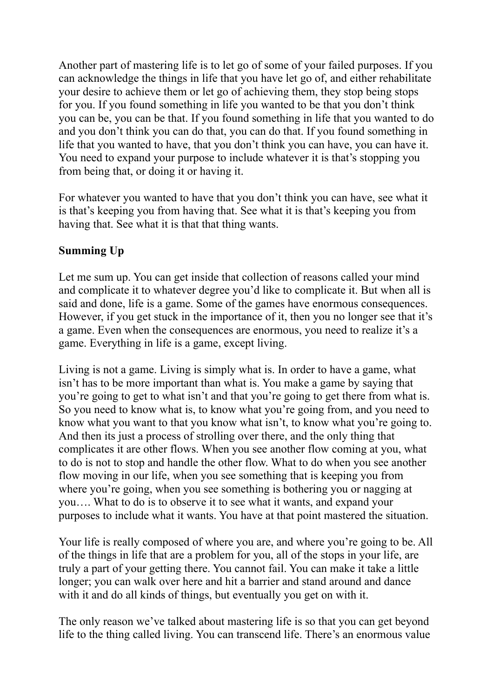Another part of mastering life is to let go of some of your failed purposes. If you can acknowledge the things in life that you have let go of, and either rehabilitate your desire to achieve them or let go of achieving them, they stop being stops for you. If you found something in life you wanted to be that you don't think you can be, you can be that. If you found something in life that you wanted to do and you don't think you can do that, you can do that. If you found something in life that you wanted to have, that you don't think you can have, you can have it. You need to expand your purpose to include whatever it is that's stopping you from being that, or doing it or having it.

For whatever you wanted to have that you don't think you can have, see what it is that's keeping you from having that. See what it is that's keeping you from having that. See what it is that that thing wants.

#### **Summing Up**

Let me sum up. You can get inside that collection of reasons called your mind and complicate it to whatever degree you'd like to complicate it. But when all is said and done, life is a game. Some of the games have enormous consequences. However, if you get stuck in the importance of it, then you no longer see that it's a game. Even when the consequences are enormous, you need to realize it's a game. Everything in life is a game, except living.

Living is not a game. Living is simply what is. In order to have a game, what isn't has to be more important than what is. You make a game by saying that you're going to get to what isn't and that you're going to get there from what is. So you need to know what is, to know what you're going from, and you need to know what you want to that you know what isn't, to know what you're going to. And then its just a process of strolling over there, and the only thing that complicates it are other flows. When you see another flow coming at you, what to do is not to stop and handle the other flow. What to do when you see another flow moving in our life, when you see something that is keeping you from where you're going, when you see something is bothering you or nagging at you…. What to do is to observe it to see what it wants, and expand your purposes to include what it wants. You have at that point mastered the situation.

Your life is really composed of where you are, and where you're going to be. All of the things in life that are a problem for you, all of the stops in your life, are truly a part of your getting there. You cannot fail. You can make it take a little longer; you can walk over here and hit a barrier and stand around and dance with it and do all kinds of things, but eventually you get on with it.

The only reason we've talked about mastering life is so that you can get beyond life to the thing called living. You can transcend life. There's an enormous value